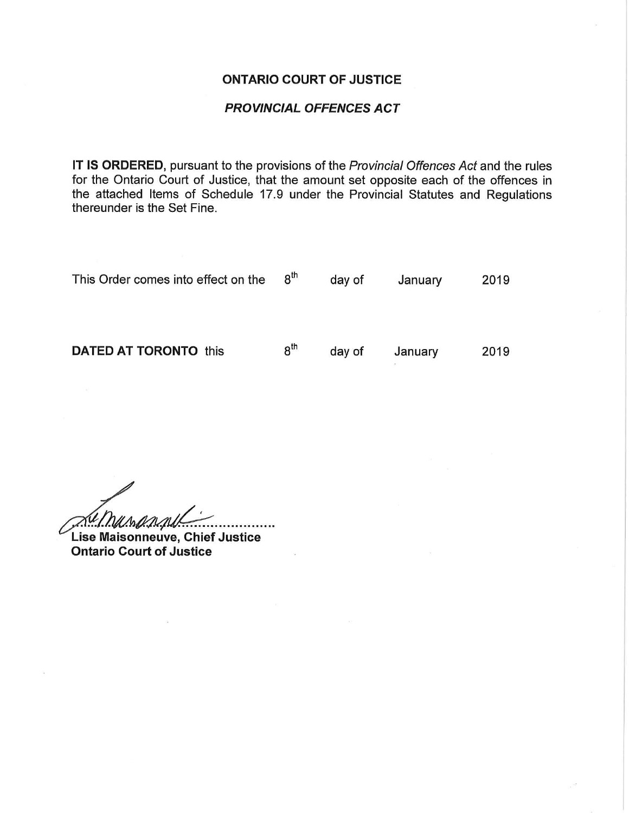## ONTARIO COURT OF JUSTICE

## PROVINCIAL OFFENCES ACT

IT IS ORDERED, pursuant to the provisions of the Provincial Offences Act and the rules for the Ontario Court of Justice, that the amount set opposite each of the offences in the attached Items of Schedule 17.9 under the Provincial Statutes and Regulations thereunder is the Set Fine.

| This Order comes into effect on the | $8^{\text{th}}$ | day of | January | 2019 |
|-------------------------------------|-----------------|--------|---------|------|
| <b>DATED AT TORONTO this</b>        | $8^{\text{th}}$ | day of | January | 2019 |

*<u>AU MAAAAAL</u>*<br>Lise Maisonneuve, Chief Justice

Ontario Court of Justice